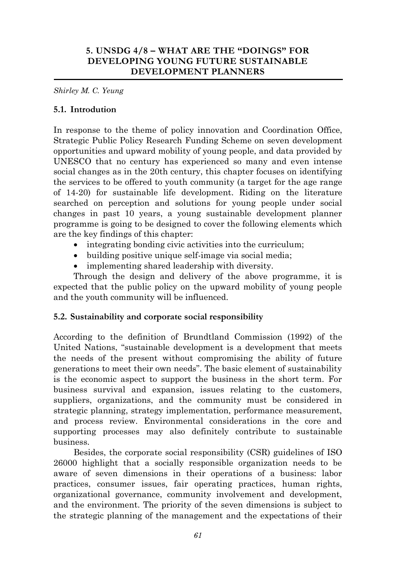## **5. UNSDG 4/8 – WHAT ARE THE "DOINGS" FOR DEVELOPING YOUNG FUTURE SUSTAINABLE DEVELOPMENT PLANNERS**

*Shirley M. C. Yeung*

#### **5.1. Introdution**

In response to the theme of policy innovation and Coordination Office, Strategic Public Policy Research Funding Scheme on seven development opportunities and upward mobility of young people, and data provided by UNESCO that no century has experienced so many and even intense social changes as in the 20th century, this chapter focuses on identifying the services to be offered to youth community (a target for the age range of 14-20) for sustainable life development. Riding on the literature searched on perception and solutions for young people under social changes in past 10 years, a young sustainable development planner programme is going to be designed to cover the following elements which are the key findings of this chapter:

- integrating bonding civic activities into the curriculum;
- building positive unique self-image via social media;
- implementing shared leadership with diversity.

Through the design and delivery of the above programme, it is expected that the public policy on the upward mobility of young people and the youth community will be influenced.

#### **5.2. Sustainability and corporate social responsibility**

According to the definition of Brundtland Commission (1992) of the United Nations, "sustainable development is a development that meets the needs of the present without compromising the ability of future generations to meet their own needs". The basic element of sustainability is the economic aspect to support the business in the short term. For business survival and expansion, issues relating to the customers, suppliers, organizations, and the community must be considered in strategic planning, strategy implementation, performance measurement, and process review. Environmental considerations in the core and supporting processes may also definitely contribute to sustainable business.

Besides, the corporate social responsibility (CSR) guidelines of ISO 26000 highlight that a socially responsible organization needs to be aware of seven dimensions in their operations of a business: labor practices, consumer issues, fair operating practices, human rights, organizational governance, community involvement and development, and the environment. The priority of the seven dimensions is subject to the strategic planning of the management and the expectations of their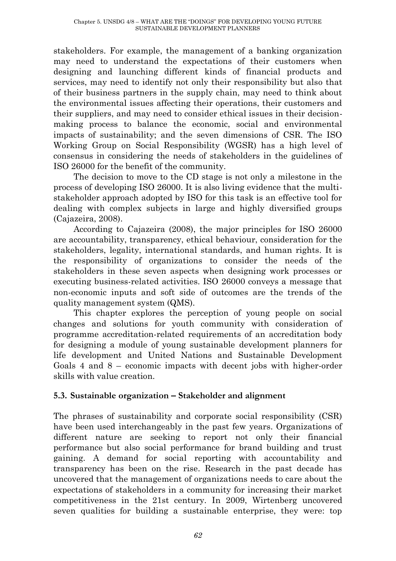stakeholders. For example, the management of a banking organization may need to understand the expectations of their customers when designing and launching different kinds of financial products and services, may need to identify not only their responsibility but also that of their business partners in the supply chain, may need to think about the environmental issues affecting their operations, their customers and their suppliers, and may need to consider ethical issues in their decisionmaking process to balance the economic, social and environmental impacts of sustainability; and the seven dimensions of CSR. The ISO Working Group on Social Responsibility (WGSR) has a high level of consensus in considering the needs of stakeholders in the guidelines of ISO 26000 for the benefit of the community.

The decision to move to the CD stage is not only a milestone in the process of developing ISO 26000. It is also living evidence that the multistakeholder approach adopted by ISO for this task is an effective tool for dealing with complex subjects in large and highly diversified groups (Cajazeira, 2008).

According to Cajazeira (2008), the major principles for ISO 26000 are accountability, transparency, ethical behaviour, consideration for the stakeholders, legality, international standards, and human rights. It is the responsibility of organizations to consider the needs of the stakeholders in these seven aspects when designing work processes or executing business-related activities. ISO 26000 conveys a message that non-economic inputs and soft side of outcomes are the trends of the quality management system (QMS).

This chapter explores the perception of young people on social changes and solutions for youth community with consideration of programme accreditation-related requirements of an accreditation body for designing a module of young sustainable development planners for life development and United Nations and Sustainable Development Goals 4 and 8 – economic impacts with decent jobs with higher-order skills with value creation.

## **5.3. Sustainable organization – Stakeholder and alignment**

The phrases of sustainability and corporate social responsibility (CSR) have been used interchangeably in the past few years. Organizations of different nature are seeking to report not only their financial performance but also social performance for brand building and trust gaining. A demand for social reporting with accountability and transparency has been on the rise. Research in the past decade has uncovered that the management of organizations needs to care about the expectations of stakeholders in a community for increasing their market competitiveness in the 21st century. In 2009, Wirtenberg uncovered seven qualities for building a sustainable enterprise, they were: top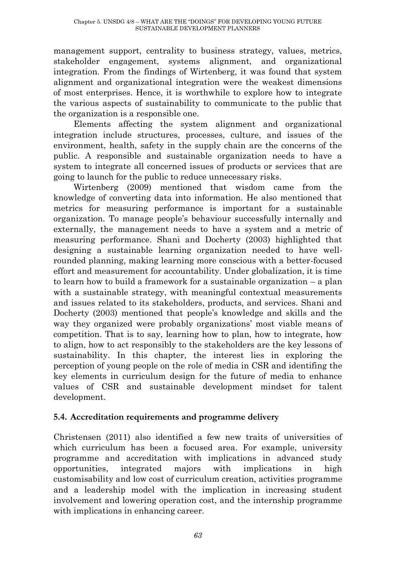management support, centrality to business strategy, values, metrics, stakeholder engagement, systems alignment, and organizational integration. From the findings of Wirtenberg, it was found that system alignment and organizational integration were the weakest dimensions of most enterprises. Hence, it is worthwhile to explore how to integrate the various aspects of sustainability to communicate to the public that the organization is a responsible one.

Elements affecting the system alignment and organizational integration include structures, processes, culture, and issues of the environment, health, safety in the supply chain are the concerns of the public. A responsible and sustainable organization needs to have a system to integrate all concerned issues of products or services that are going to launch for the public to reduce unnecessary risks.

Wirtenberg (2009) mentioned that wisdom came from the knowledge of converting data into information. He also mentioned that metrics for measuring performance is important for a sustainable organization. To manage people's behaviour successfully internally and externally, the management needs to have a system and a metric of measuring performance. Shani and Docherty (2003) highlighted that designing a sustainable learning organization needed to have wellrounded planning, making learning more conscious with a better-focused effort and measurement for accountability. Under globalization, it is time to learn how to build a framework for a sustainable organization – a plan with a sustainable strategy, with meaningful contextual measurements and issues related to its stakeholders, products, and services. Shani and Docherty (2003) mentioned that people's knowledge and skills and the way they organized were probably organizations' most viable means of competition. That is to say, learning how to plan, how to integrate, how to align, how to act responsibly to the stakeholders are the key lessons of sustainability. In this chapter, the interest lies in exploring the perception of young people on the role of media in CSR and identifing the key elements in curriculum design for the future of media to enhance values of CSR and sustainable development mindset for talent development.

## **5.4. Accreditation requirements and programme delivery**

Christensen (2011) also identified a few new traits of universities of which curriculum has been a focused area. For example, university programme and accreditation with implications in advanced study opportunities, integrated majors with implications in high customisability and low cost of curriculum creation, activities programme and a leadership model with the implication in increasing student involvement and lowering operation cost, and the internship programme with implications in enhancing career.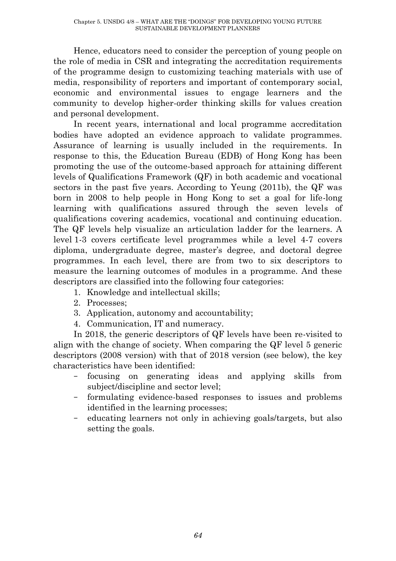Hence, educators need to consider the perception of young people on the role of media in CSR and integrating the accreditation requirements of the programme design to customizing teaching materials with use of media, responsibility of reporters and important of contemporary social, economic and environmental issues to engage learners and the community to develop higher-order thinking skills for values creation and personal development.

In recent years, international and local programme accreditation bodies have adopted an evidence approach to validate programmes. Assurance of learning is usually included in the requirements. In response to this, the Education Bureau (EDB) of Hong Kong has been promoting the use of the outcome-based approach for attaining different levels of Qualifications Framework (QF) in both academic and vocational sectors in the past five years. According to Yeung (2011b), the QF was born in 2008 to help people in Hong Kong to set a goal for life-long learning with qualifications assured through the seven levels of qualifications covering academics, vocational and continuing education. The QF levels help visualize an articulation ladder for the learners. A level 1-3 covers certificate level programmes while a level 4-7 covers diploma, undergraduate degree, master's degree, and doctoral degree programmes. In each level, there are from two to six descriptors to measure the learning outcomes of modules in a programme. And these descriptors are classified into the following four categories:

- 1. Knowledge and intellectual skills;
- 2. Processes;
- 3. Application, autonomy and accountability;
- 4. Communication, IT and numeracy.

In 2018, the generic descriptors of QF levels have been re-visited to align with the change of society. When comparing the QF level 5 generic descriptors (2008 version) with that of 2018 version (see below), the key characteristics have been identified:

- focusing on generating ideas and applying skills from subject/discipline and sector level;
- formulating evidence-based responses to issues and problems identified in the learning processes;
- educating learners not only in achieving goals/targets, but also setting the goals.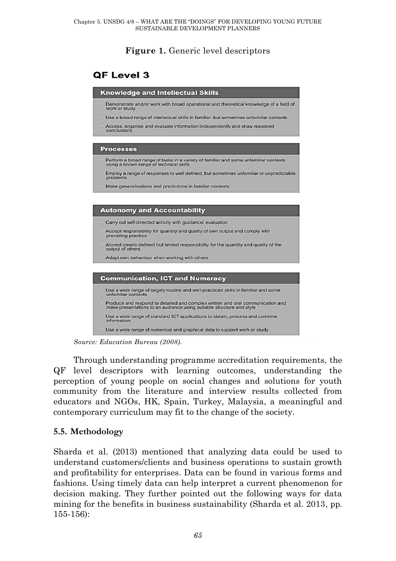## **Figure 1.** Generic level descriptors

# OF Level 3



*Source: Education Bureau (2008).*

Through understanding programme accreditation requirements, the QF level descriptors with learning outcomes, understanding the perception of young people on social changes and solutions for youth community from the literature and interview results collected from educators and NGOs, HK, Spain, Turkey, Malaysia, a meaningful and contemporary curriculum may fit to the change of the society.

## **5.5. Methodology**

Sharda et al. (2013) mentioned that analyzing data could be used to understand customers/clients and business operations to sustain growth and profitability for enterprises. Data can be found in various forms and fashions. Using timely data can help interpret a current phenomenon for decision making. They further pointed out the following ways for data mining for the benefits in business sustainability (Sharda et al. 2013, pp. 155-156):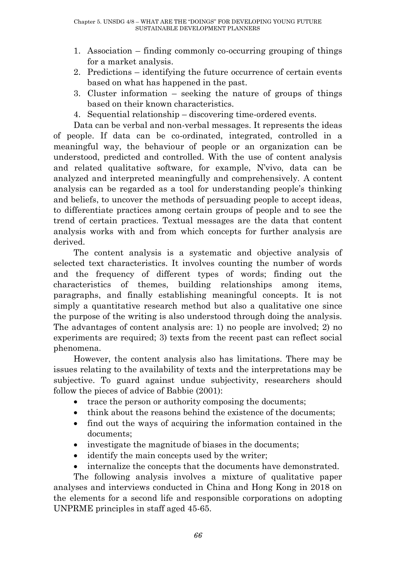- 1. Association finding commonly co-occurring grouping of things for a market analysis.
- 2. Predictions identifying the future occurrence of certain events based on what has happened in the past.
- 3. Cluster information seeking the nature of groups of things based on their known characteristics.
- 4. Sequential relationship discovering time-ordered events.

Data can be verbal and non-verbal messages. It represents the ideas of people. If data can be co-ordinated, integrated, controlled in a meaningful way, the behaviour of people or an organization can be understood, predicted and controlled. With the use of content analysis and related qualitative software, for example, N'vivo, data can be analyzed and interpreted meaningfully and comprehensively. A content analysis can be regarded as a tool for understanding people's thinking and beliefs, to uncover the methods of persuading people to accept ideas, to differentiate practices among certain groups of people and to see the trend of certain practices. Textual messages are the data that content analysis works with and from which concepts for further analysis are derived.

The content analysis is a systematic and objective analysis of selected text characteristics. It involves counting the number of words and the frequency of different types of words; finding out the characteristics of themes, building relationships among items, paragraphs, and finally establishing meaningful concepts. It is not simply a quantitative research method but also a qualitative one since the purpose of the writing is also understood through doing the analysis. The advantages of content analysis are: 1) no people are involved; 2) no experiments are required; 3) texts from the recent past can reflect social phenomena.

However, the content analysis also has limitations. There may be issues relating to the availability of texts and the interpretations may be subjective. To guard against undue subjectivity, researchers should follow the pieces of advice of Babbie (2001):

- trace the person or authority composing the documents;
- think about the reasons behind the existence of the documents:
- find out the ways of acquiring the information contained in the documents;
- investigate the magnitude of biases in the documents;
- identify the main concepts used by the writer;
- internalize the concepts that the documents have demonstrated.

The following analysis involves a mixture of qualitative paper analyses and interviews conducted in China and Hong Kong in 2018 on the elements for a second life and responsible corporations on adopting UNPRME principles in staff aged 45-65.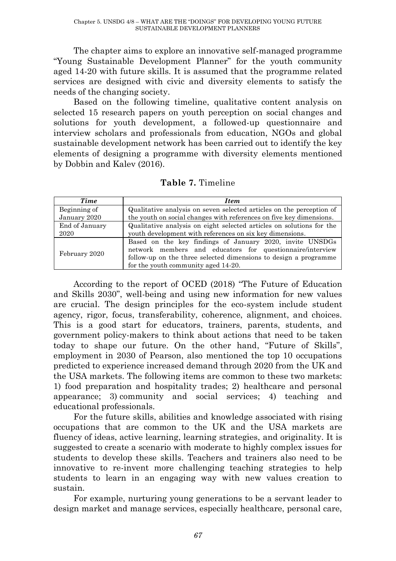The chapter aims to explore an innovative self-managed programme "Young Sustainable Development Planner" for the youth community aged 14-20 with future skills. It is assumed that the programme related services are designed with civic and diversity elements to satisfy the needs of the changing society.

Based on the following timeline, qualitative content analysis on selected 15 research papers on youth perception on social changes and solutions for youth development, a followed-up questionnaire and interview scholars and professionals from education, NGOs and global sustainable development network has been carried out to identify the key elements of designing a programme with diversity elements mentioned by Dobbin and Kalev (2016).

| <b>Time</b>    | <b>Item</b>                                                                                                                                                                                                                      |  |  |
|----------------|----------------------------------------------------------------------------------------------------------------------------------------------------------------------------------------------------------------------------------|--|--|
| Beginning of   | Qualitative analysis on seven selected articles on the perception of                                                                                                                                                             |  |  |
| January 2020   | the youth on social changes with references on five key dimensions.                                                                                                                                                              |  |  |
| End of January | Qualitative analysis on eight selected articles on solutions for the                                                                                                                                                             |  |  |
| 2020           | youth development with references on six key dimensions.                                                                                                                                                                         |  |  |
| February 2020  | Based on the key findings of January 2020, invite UNSDGs<br>network members and educators for questionnaire/interview<br>follow-up on the three selected dimensions to design a programme<br>for the youth community aged 14-20. |  |  |

**Table 7.** Timeline

According to the report of OCED (2018) "The Future of Education and Skills 2030", well-being and using new information for new values are crucial. The design principles for the eco-system include student agency, rigor, focus, transferability, coherence, alignment, and choices. This is a good start for educators, trainers, parents, students, and government policy-makers to think about actions that need to be taken today to shape our future. On the other hand, "Future of Skills", employment in 2030 of Pearson, also mentioned the top 10 occupations predicted to experience increased demand through 2020 from the UK and the USA markets. The following items are common to these two markets: 1) food preparation and hospitality trades; 2) healthcare and personal appearance; 3) community and social services; 4) teaching and educational professionals.

For the future skills, abilities and knowledge associated with rising occupations that are common to the UK and the USA markets are fluency of ideas, active learning, learning strategies, and originality. It is suggested to create a scenario with moderate to highly complex issues for students to develop these skills. Teachers and trainers also need to be innovative to re-invent more challenging teaching strategies to help students to learn in an engaging way with new values creation to sustain.

For example, nurturing young generations to be a servant leader to design market and manage services, especially healthcare, personal care,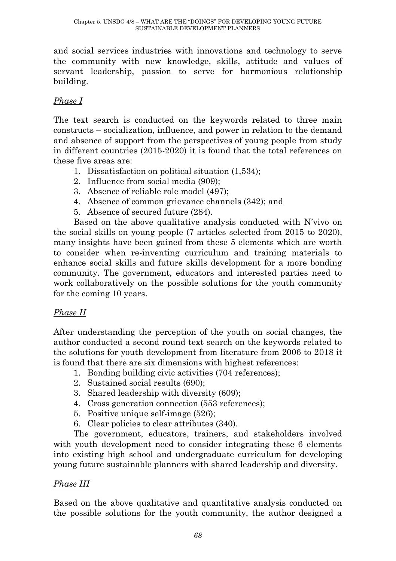and social services industries with innovations and technology to serve the community with new knowledge, skills, attitude and values of servant leadership, passion to serve for harmonious relationship building.

## *Phase I*

The text search is conducted on the keywords related to three main constructs – socialization, influence, and power in relation to the demand and absence of support from the perspectives of young people from study in different countries (2015-2020) it is found that the total references on these five areas are:

- 1. Dissatisfaction on political situation (1,534);
- 2. Influence from social media (909);
- 3. Absence of reliable role model (497);
- 4. Absence of common grievance channels (342); and
- 5. Absence of secured future (284).

Based on the above qualitative analysis conducted with N'vivo on the social skills on young people (7 articles selected from 2015 to 2020), many insights have been gained from these 5 elements which are worth to consider when re-inventing curriculum and training materials to enhance social skills and future skills development for a more bonding community. The government, educators and interested parties need to work collaboratively on the possible solutions for the youth community for the coming 10 years.

## *Phase II*

After understanding the perception of the youth on social changes, the author conducted a second round text search on the keywords related to the solutions for youth development from literature from 2006 to 2018 it is found that there are six dimensions with highest references:

- 1. Bonding building civic activities (704 references);
- 2. Sustained social results (690);
- 3. Shared leadership with diversity (609);
- 4. Cross generation connection (553 references);
- 5. Positive unique self-image (526);
- 6. Clear policies to clear attributes (340).

The government, educators, trainers, and stakeholders involved with youth development need to consider integrating these 6 elements into existing high school and undergraduate curriculum for developing young future sustainable planners with shared leadership and diversity.

## *Phase III*

Based on the above qualitative and quantitative analysis conducted on the possible solutions for the youth community, the author designed a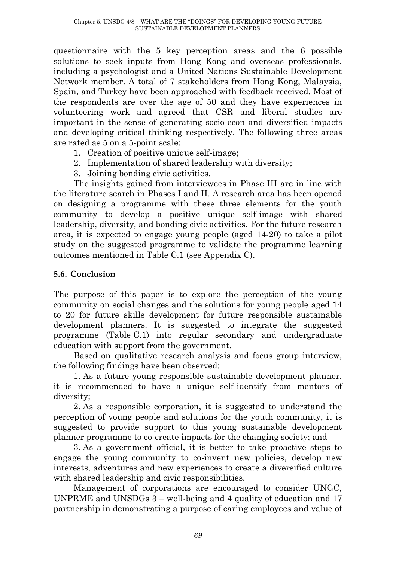questionnaire with the 5 key perception areas and the 6 possible solutions to seek inputs from Hong Kong and overseas professionals, including a psychologist and a United Nations Sustainable Development Network member. A total of 7 stakeholders from Hong Kong, Malaysia, Spain, and Turkey have been approached with feedback received. Most of the respondents are over the age of 50 and they have experiences in volunteering work and agreed that CSR and liberal studies are important in the sense of generating socio-econ and diversified impacts and developing critical thinking respectively. The following three areas are rated as 5 on a 5-point scale:

- 1. Creation of positive unique self-image;
- 2. Implementation of shared leadership with diversity;
- 3. Joining bonding civic activities.

The insights gained from interviewees in Phase III are in line with the literature search in Phases I and II. A research area has been opened on designing a programme with these three elements for the youth community to develop a positive unique self-image with shared leadership, diversity, and bonding civic activities. For the future research area, it is expected to engage young people (aged 14-20) to take a pilot study on the suggested programme to validate the programme learning outcomes mentioned in Table C.1 (see Appendix C).

#### **5.6. Conclusion**

The purpose of this paper is to explore the perception of the young community on social changes and the solutions for young people aged 14 to 20 for future skills development for future responsible sustainable development planners. It is suggested to integrate the suggested programme (Table C.1) into regular secondary and undergraduate education with support from the government.

Based on qualitative research analysis and focus group interview, the following findings have been observed:

1. As a future young responsible sustainable development planner, it is recommended to have a unique self-identify from mentors of diversity;

2. As a responsible corporation, it is suggested to understand the perception of young people and solutions for the youth community, it is suggested to provide support to this young sustainable development planner programme to co-create impacts for the changing society; and

3. As a government official, it is better to take proactive steps to engage the young community to co-invent new policies, develop new interests, adventures and new experiences to create a diversified culture with shared leadership and civic responsibilities.

Management of corporations are encouraged to consider UNGC, UNPRME and UNSDGs 3 – well-being and 4 quality of education and 17 partnership in demonstrating a purpose of caring employees and value of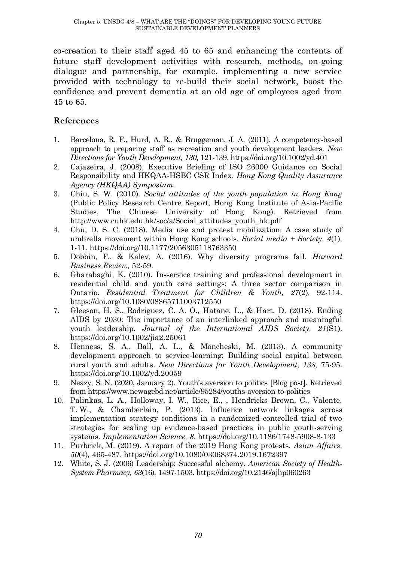co-creation to their staff aged 45 to 65 and enhancing the contents of future staff development activities with research, methods, on-going dialogue and partnership, for example, implementing a new service provided with technology to re-build their social network, boost the confidence and prevent dementia at an old age of employees aged from 45 to 65.

#### **References**

- 1. Barcelona, R. F., Hurd, A. R., & Bruggeman, J. A. (2011). A competency-based approach to preparing staff as recreation and youth development leaders. *New Directions for Youth Development, 130,* 121-139. https://doi.org/10.1002/yd.401
- 2. Cajazeira, J. (2008), Executive Briefing of ISO 26000 Guidance on Social Responsibility and HKQAA-HSBC CSR Index. *Hong Kong Quality Assurance Agency (HKQAA) Symposium.*
- 3. Chiu, S. W. (2010). *Social attitudes of the youth population in Hong Kong* (Public Policy Research Centre Report, Hong Kong Institute of Asia-Pacific Studies, The Chinese University of Hong Kong). Retrieved from http://www.cuhk.edu.hk/soc/a/Social\_attitudes\_youth\_hk.pdf
- 4. Chu, D. S. C. (2018). Media use and protest mobilization: A case study of umbrella movement within Hong Kong schools. *Social media + Society, 4*(1)*,* 1-11. https://doi.org/10.1177/2056305118763350
- 5. Dobbin, F., & Kalev, A. (2016). Why diversity programs fail. *Harvard Business Review,* 52-59.
- 6. Gharabaghi, K. (2010). In-service training and professional development in residential child and youth care settings: A three sector comparison in Ontario. *Residential Treatment for Children & Youth, 27*(2)*,* 92-114. https://doi.org/10.1080/08865711003712550
- 7. Gleeson, H. S., Rodriguez, C. A. O., Hatane, L., & Hart, D. (2018). Ending AIDS by 2030: The importance of an interlinked approach and meaningful youth leadership. *Journal of the International AIDS Society, 21*(S1). https://doi.org/10.1002/jia2.25061
- 8. Henness, S. A., Ball, A. L., & Moncheski, M. (2013). A community development approach to service-learning: Building social capital between rural youth and adults. *New Directions for Youth Development, 138,* 75-95. https://doi.org/10.1002/yd.20059
- 9. Neazy, S. N. (2020, January 2). Youth's aversion to politics [Blog post]. Retrieved fro[m https://www.newagebd.net/article/95284/youths-aversion-to-politics](https://www.newagebd.net/article/95284/youths-aversion-to-politics)
- 10. Palinkas, L. A., Holloway, I. W., Rice, E., , Hendricks Brown, C., Valente, T. W., & Chamberlain, P. (2013). Influence network linkages across implementation strategy conditions in a randomized controlled trial of two strategies for scaling up evidence-based practices in public youth-serving systems. *Implementation Science, 8*. https://doi.org/10.1186/1748-5908-8-133
- 11. Purbrick, M. (2019). A report of the 2019 Hong Kong protests. *Asian Affairs, 50*(4)*,* 465-487. https://doi.org/10.1080/03068374.2019.1672397
- 12. White, S. J. (2006) Leadership: Successful alchemy. *American Society of Health-System Pharmacy, 63*(16)*,* 1497-1503. https://doi.org/10.2146/ajhp060263